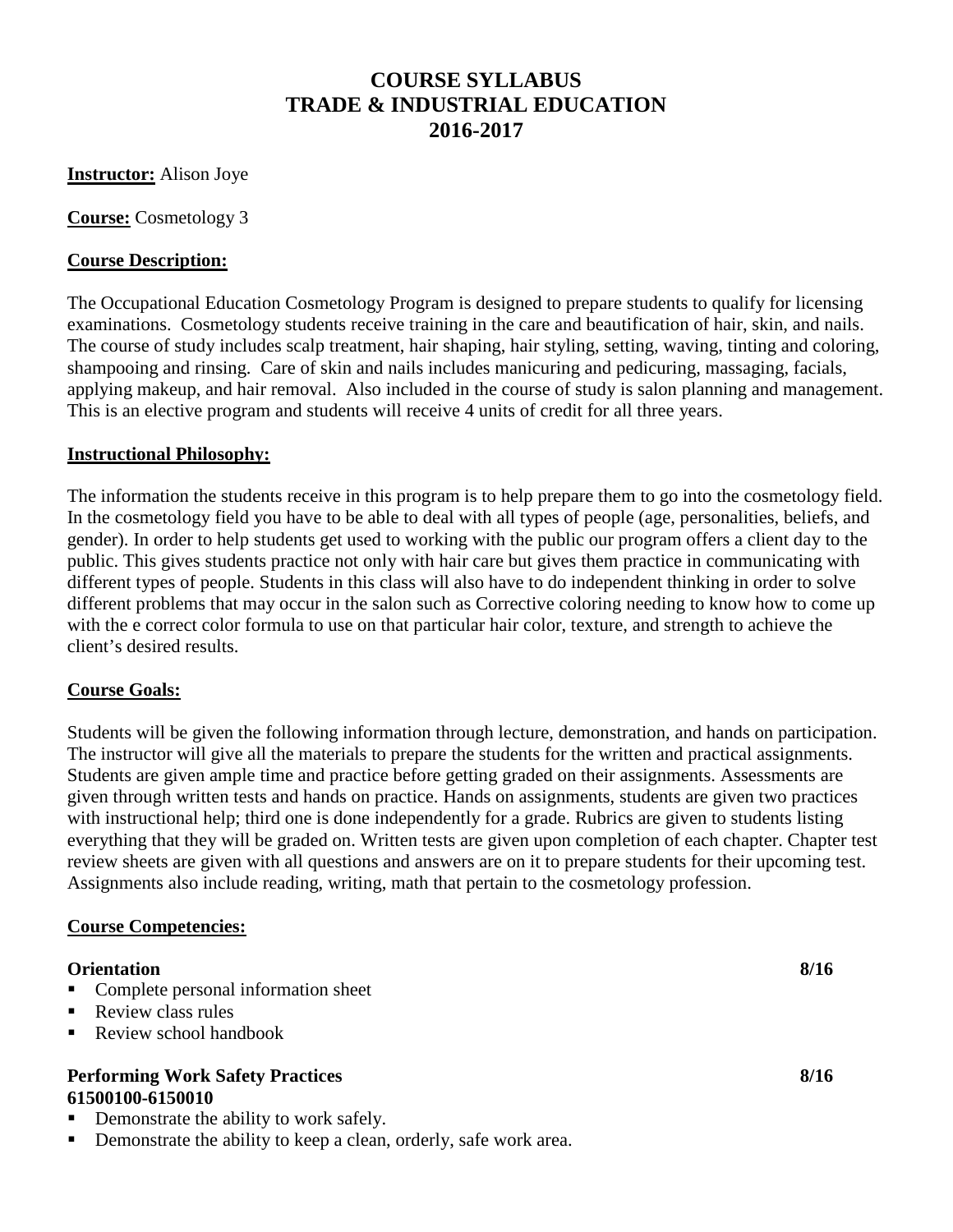# **COURSE SYLLABUS TRADE & INDUSTRIAL EDUCATION 2016-2017**

**Instructor:** Alison Joye

**Course:** Cosmetology 3

#### **Course Description:**

The Occupational Education Cosmetology Program is designed to prepare students to qualify for licensing examinations. Cosmetology students receive training in the care and beautification of hair, skin, and nails. The course of study includes scalp treatment, hair shaping, hair styling, setting, waving, tinting and coloring, shampooing and rinsing. Care of skin and nails includes manicuring and pedicuring, massaging, facials, applying makeup, and hair removal. Also included in the course of study is salon planning and management. This is an elective program and students will receive 4 units of credit for all three years.

#### **Instructional Philosophy:**

The information the students receive in this program is to help prepare them to go into the cosmetology field. In the cosmetology field you have to be able to deal with all types of people (age, personalities, beliefs, and gender). In order to help students get used to working with the public our program offers a client day to the public. This gives students practice not only with hair care but gives them practice in communicating with different types of people. Students in this class will also have to do independent thinking in order to solve different problems that may occur in the salon such as Corrective coloring needing to know how to come up with the e correct color formula to use on that particular hair color, texture, and strength to achieve the client's desired results.

#### **Course Goals:**

Students will be given the following information through lecture, demonstration, and hands on participation. The instructor will give all the materials to prepare the students for the written and practical assignments. Students are given ample time and practice before getting graded on their assignments. Assessments are given through written tests and hands on practice. Hands on assignments, students are given two practices with instructional help; third one is done independently for a grade. Rubrics are given to students listing everything that they will be graded on. Written tests are given upon completion of each chapter. Chapter test review sheets are given with all questions and answers are on it to prepare students for their upcoming test. Assignments also include reading, writing, math that pertain to the cosmetology profession.

#### **Course Competencies:**

#### **Orientation 8/16**

- Complete personal information sheet
- Review class rules
- Review school handbook

#### **Performing Work Safety Practices 8/16 61500100-6150010**

- Demonstrate the ability to work safely.
- Demonstrate the ability to keep a clean, orderly, safe work area.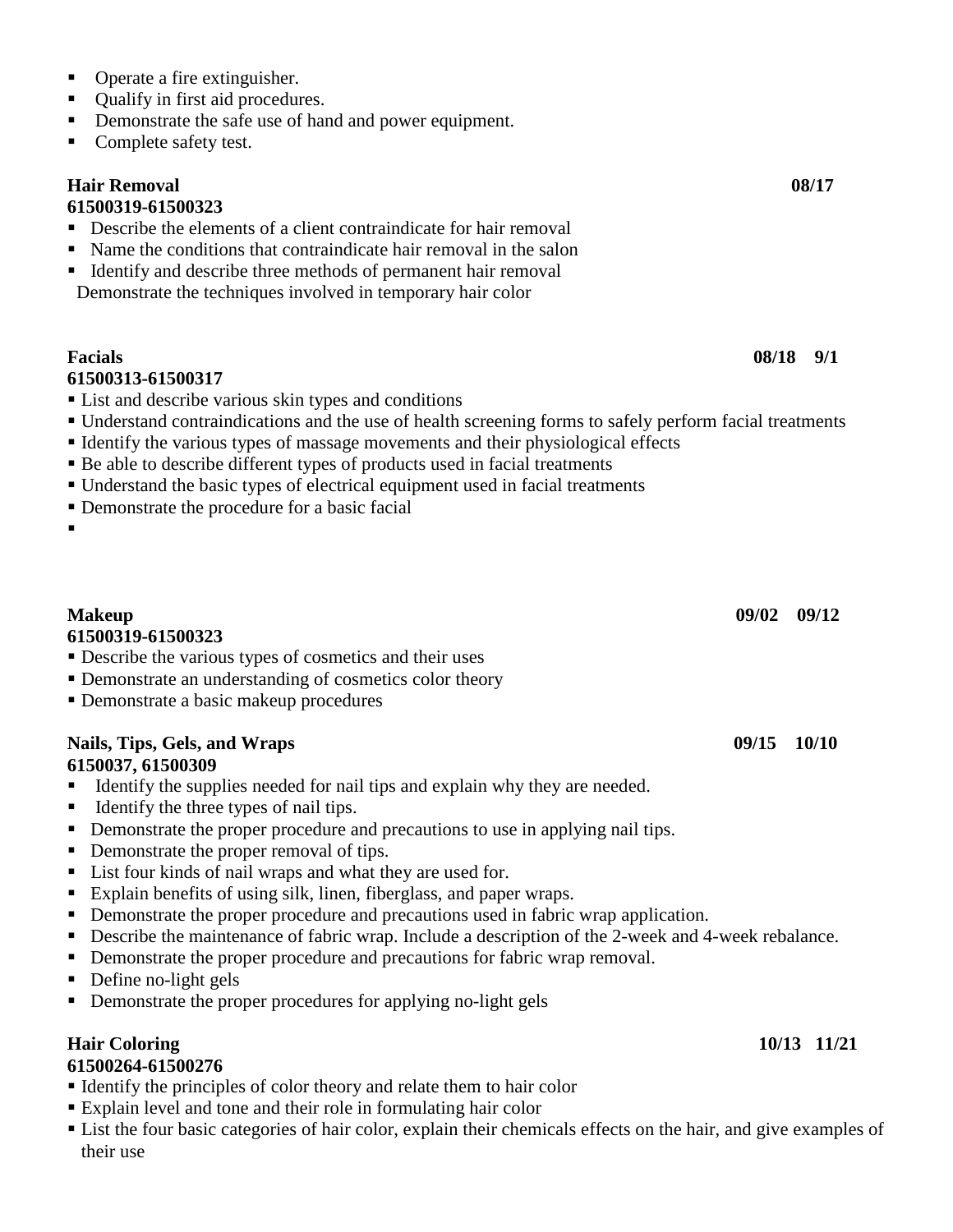- Operate a fire extinguisher.
- Oualify in first aid procedures.
- Demonstrate the safe use of hand and power equipment.
- Complete safety test.

### **Hair Removal 08/17**

#### **61500319-61500323**

- Describe the elements of a client contraindicate for hair removal
- Name the conditions that contraindicate hair removal in the salon
- Identify and describe three methods of permanent hair removal Demonstrate the techniques involved in temporary hair color

# **Facials 08/18 9/1 61500313-61500317**

- List and describe various skin types and conditions
- Understand contraindications and the use of health screening forms to safely perform facial treatments
- Identify the various types of massage movements and their physiological effects
- Be able to describe different types of products used in facial treatments
- Understand the basic types of electrical equipment used in facial treatments
- Demonstrate the procedure for a basic facial
- $\blacksquare$

### **61500319-61500323**

- Describe the various types of cosmetics and their uses
- Demonstrate an understanding of cosmetics color theory
- Demonstrate a basic makeup procedures

#### **Nails, Tips, Gels, and Wraps 09/15 10/10 6150037, 61500309**

- Identify the supplies needed for nail tips and explain why they are needed.
- Identify the three types of nail tips.
- Demonstrate the proper procedure and precautions to use in applying nail tips.
- Demonstrate the proper removal of tips.
- List four kinds of nail wraps and what they are used for.
- Explain benefits of using silk, linen, fiberglass, and paper wraps.
- Demonstrate the proper procedure and precautions used in fabric wrap application.
- Describe the maintenance of fabric wrap. Include a description of the 2-week and 4-week rebalance.
- Demonstrate the proper procedure and precautions for fabric wrap removal.
- Define no-light gels
- Demonstrate the proper procedures for applying no-light gels

# **Hair Coloring 10/13 11/21**

### **61500264-61500276**

- Identify the principles of color theory and relate them to hair color
- Explain level and tone and their role in formulating hair color
- List the four basic categories of hair color, explain their chemicals effects on the hair, and give examples of their use

**Makeup 09/02 09/12**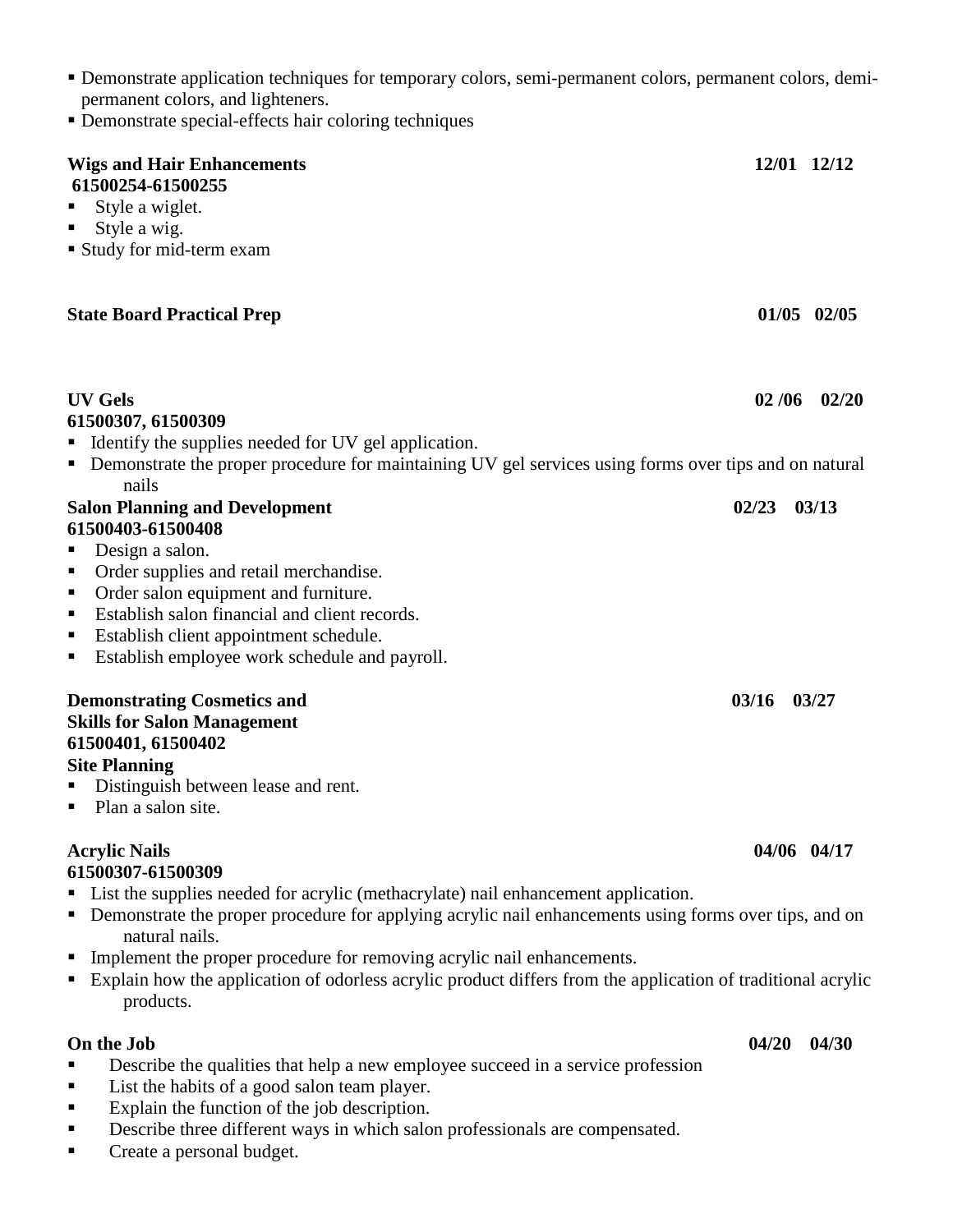- Demonstrate application techniques for temporary colors, semi-permanent colors, permanent colors, demipermanent colors, and lighteners.
- Demonstrate special-effects hair coloring techniques

| <b>Wigs and Hair Enhancements</b>                                                                                                                                                   |       | 12/01 12/12     |
|-------------------------------------------------------------------------------------------------------------------------------------------------------------------------------------|-------|-----------------|
| 61500254-61500255<br>Style a wiglet.                                                                                                                                                |       |                 |
| Style a wig.                                                                                                                                                                        |       |                 |
| Study for mid-term exam                                                                                                                                                             |       |                 |
|                                                                                                                                                                                     |       |                 |
| <b>State Board Practical Prep</b>                                                                                                                                                   |       | $01/05$ $02/05$ |
| <b>UV Gels</b>                                                                                                                                                                      | 02/06 | 02/20           |
| 61500307, 61500309                                                                                                                                                                  |       |                 |
| • Identify the supplies needed for UV gel application.                                                                                                                              |       |                 |
| • Demonstrate the proper procedure for maintaining UV gel services using forms over tips and on natural<br>nails                                                                    |       |                 |
| <b>Salon Planning and Development</b>                                                                                                                                               | 02/23 | 03/13           |
| 61500403-61500408                                                                                                                                                                   |       |                 |
| Design a salon.                                                                                                                                                                     |       |                 |
| Order supplies and retail merchandise.<br>п                                                                                                                                         |       |                 |
| Order salon equipment and furniture.<br>п                                                                                                                                           |       |                 |
| Establish salon financial and client records.                                                                                                                                       |       |                 |
| Establish client appointment schedule.<br>п                                                                                                                                         |       |                 |
| Establish employee work schedule and payroll.<br>ш                                                                                                                                  |       |                 |
| <b>Demonstrating Cosmetics and</b><br><b>Skills for Salon Management</b><br>61500401, 61500402<br><b>Site Planning</b><br>Distinguish between lease and rent.<br>Plan a salon site. | 03/16 | 03/27           |
| <b>Acrylic Nails</b>                                                                                                                                                                |       | 04/06 04/17     |
| 61500307-61500309                                                                                                                                                                   |       |                 |
| List the supplies needed for acrylic (methacrylate) nail enhancement application.                                                                                                   |       |                 |
| Demonstrate the proper procedure for applying acrylic nail enhancements using forms over tips, and on                                                                               |       |                 |
| natural nails.                                                                                                                                                                      |       |                 |
| Implement the proper procedure for removing acrylic nail enhancements.                                                                                                              |       |                 |
| Explain how the application of odorless acrylic product differs from the application of traditional acrylic<br>products.                                                            |       |                 |
| On the Job                                                                                                                                                                          | 04/20 | 04/30           |
| Describe the qualities that help a new employee succeed in a service profession                                                                                                     |       |                 |
| List the habits of a good salon team player.                                                                                                                                        |       |                 |
| Explain the function of the job description.                                                                                                                                        |       |                 |
| Describe three different ways in which salon professionals are compensated.                                                                                                         |       |                 |
|                                                                                                                                                                                     |       |                 |

**Create a personal budget.**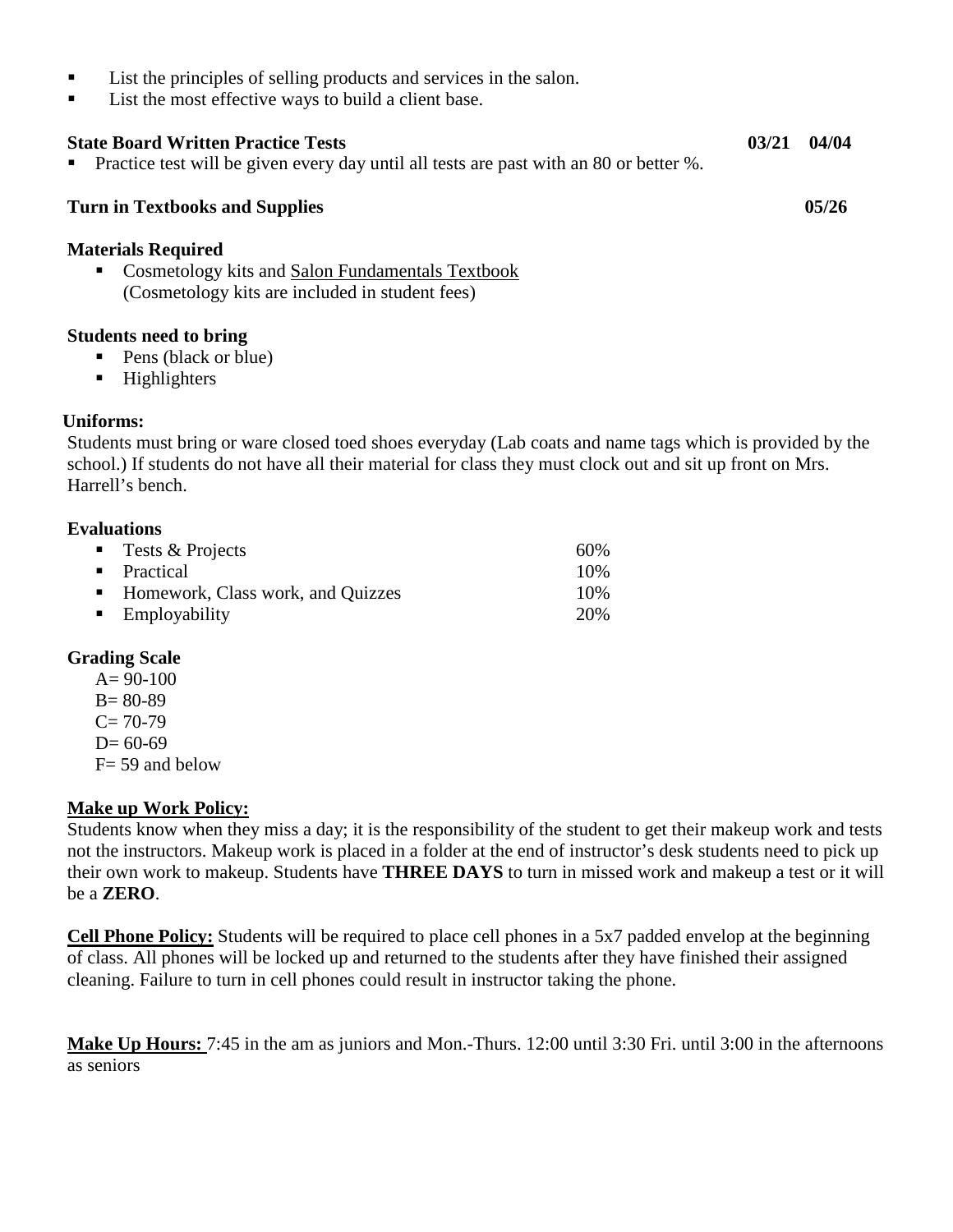- List the principles of selling products and services in the salon.
- List the most effective ways to build a client base.

#### **State Board Written Practice Tests 03/21 04/04**  Practice test will be given every day until all tests are past with an 80 or better %.

#### **Turn in Textbooks and Supplies 05/26 05/26**

#### **Materials Required**

Cosmetology kits and Salon Fundamentals Textbook (Cosmetology kits are included in student fees)

#### **Students need to bring**

- Pens (black or blue)
- **Highlighters**

#### **Uniforms:**

 Students must bring or ware closed toed shoes everyday (Lab coats and name tags which is provided by the school.) If students do not have all their material for class they must clock out and sit up front on Mrs. Harrell's bench.

#### **Evaluations**

| <b>Tests &amp; Projects</b>         | 60%  |
|-------------------------------------|------|
| • Practical                         | 10\% |
| • Homework, Class work, and Quizzes | 10%  |
| $\blacksquare$ Employability        | 20%  |

#### **Grading Scale**

- $A = 90-100$
- B= 80-89
- $C= 70-79$
- $D= 60-69$
- $F = 59$  and below

#### **Make up Work Policy:**

Students know when they miss a day; it is the responsibility of the student to get their makeup work and tests not the instructors. Makeup work is placed in a folder at the end of instructor's desk students need to pick up their own work to makeup. Students have **THREE DAYS** to turn in missed work and makeup a test or it will be a **ZERO**.

**Cell Phone Policy:** Students will be required to place cell phones in a 5x7 padded envelop at the beginning of class. All phones will be locked up and returned to the students after they have finished their assigned cleaning. Failure to turn in cell phones could result in instructor taking the phone.

**Make Up Hours:** 7:45 in the am as juniors and Mon.-Thurs. 12:00 until 3:30 Fri. until 3:00 in the afternoons as seniors